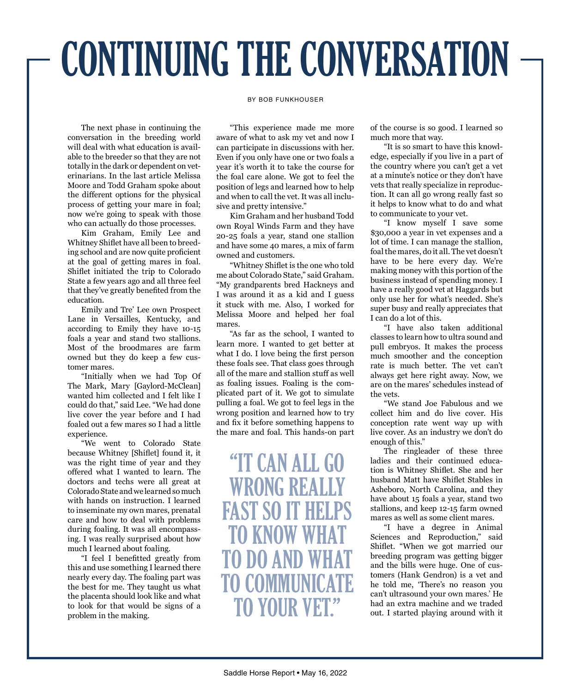## CONTINUING THE CONVERSATION

## BY BOB FUNKHOUSER

The next phase in continuing the conversation in the breeding world will deal with what education is available to the breeder so that they are not totally in the dark or dependent on veterinarians. In the last article Melissa Moore and Todd Graham spoke about the different options for the physical process of getting your mare in foal; now we're going to speak with those who can actually do those processes.

Kim Graham, Emily Lee and Whitney Shiflet have all been to breeding school and are now quite proficient at the goal of getting mares in foal. Shiflet initiated the trip to Colorado State a few years ago and all three feel that they've greatly benefited from the education.

Emily and Tre' Lee own Prospect Lane in Versailles, Kentucky, and according to Emily they have 10-15 foals a year and stand two stallions. Most of the broodmares are farm owned but they do keep a few customer mares.

"Initially when we had Top Of The Mark, Mary [Gaylord-McClean] wanted him collected and I felt like I could do that," said Lee. "We had done live cover the year before and I had foaled out a few mares so I had a little experience.

"We went to Colorado State because Whitney [Shiflet] found it, it was the right time of year and they offered what I wanted to learn. The doctors and techs were all great at Colorado State and we learned so much with hands on instruction. I learned to inseminate my own mares, prenatal care and how to deal with problems during foaling. It was all encompassing. I was really surprised about how much I learned about foaling.

"I feel I benefitted greatly from this and use something I learned there nearly every day. The foaling part was the best for me. They taught us what the placenta should look like and what to look for that would be signs of a problem in the making.

"This experience made me more aware of what to ask my vet and now I can participate in discussions with her. Even if you only have one or two foals a year it's worth it to take the course for the foal care alone. We got to feel the position of legs and learned how to help and when to call the vet. It was all inclusive and pretty intensive."

Kim Graham and her husband Todd own Royal Winds Farm and they have 20-25 foals a year, stand one stallion and have some 40 mares, a mix of farm owned and customers.

"Whitney Shiflet is the one who told me about Colorado State," said Graham. "My grandparents bred Hackneys and I was around it as a kid and I guess it stuck with me. Also, I worked for Melissa Moore and helped her foal mares.

"As far as the school, I wanted to learn more. I wanted to get better at what I do. I love being the first person these foals see. That class goes through all of the mare and stallion stuff as well as foaling issues. Foaling is the complicated part of it. We got to simulate pulling a foal. We got to feel legs in the wrong position and learned how to try and fix it before something happens to the mare and foal. This hands-on part

"IT CAN ALL GO WRONG REALI FAST SO IT HELPS TO KNOW TO DO AND TO COMMUNICATE TO YOUR VET?

of the course is so good. I learned so much more that way.

"It is so smart to have this knowledge, especially if you live in a part of the country where you can't get a vet at a minute's notice or they don't have vets that really specialize in reproduction. It can all go wrong really fast so it helps to know what to do and what to communicate to your vet.

"I know myself I save some \$30,000 a year in vet expenses and a lot of time. I can manage the stallion, foal the mares, do it all. The vet doesn't have to be here every day. We're making money with this portion of the business instead of spending money. I have a really good vet at Haggards but only use her for what's needed. She's super busy and really appreciates that I can do a lot of this.

"I have also taken additional classes to learn how to ultra sound and pull embryos. It makes the process much smoother and the conception rate is much better. The vet can't always get here right away. Now, we are on the mares' schedules instead of the vets.

"We stand Joe Fabulous and we collect him and do live cover. His conception rate went way up with live cover. As an industry we don't do enough of this."

The ringleader of these three ladies and their continued education is Whitney Shiflet. She and her husband Matt have Shiflet Stables in Asheboro, North Carolina, and they have about 15 foals a year, stand two stallions, and keep 12-15 farm owned mares as well as some client mares.

"I have a degree in Animal Sciences and Reproduction," said Shiflet. "When we got married our breeding program was getting bigger and the bills were huge. One of customers (Hank Gendron) is a vet and he told me, 'There's no reason you can't ultrasound your own mares.' He had an extra machine and we traded out. I started playing around with it